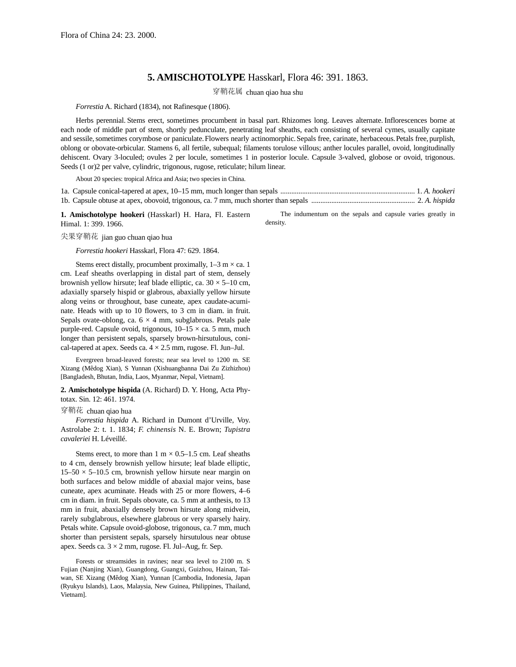## **5. AMISCHOTOLYPE** Hasskarl, Flora 46: 391. 1863.

穿鞘花属 chuan qiao hua shu

*Forrestia* A. Richard (1834), not Rafinesque (1806).

Herbs perennial. Stems erect, sometimes procumbent in basal part. Rhizomes long. Leaves alternate. Inflorescences borne at each node of middle part of stem, shortly pedunculate, penetrating leaf sheaths, each consisting of several cymes, usually capitate and sessile, sometimes corymbose or paniculate. Flowers nearly actinomorphic. Sepals free, carinate, herbaceous. Petals free, purplish, oblong or obovate-orbicular. Stamens 6, all fertile, subequal; filaments torulose villous; anther locules parallel, ovoid, longitudinally dehiscent. Ovary 3-loculed; ovules 2 per locule, sometimes 1 in posterior locule. Capsule 3-valved, globose or ovoid, trigonous. Seeds (1 or)2 per valve, cylindric, trigonous, rugose, reticulate; hilum linear.

About 20 species: tropical Africa and Asia; two species in China.

**1. Amischotolype hookeri** (Hasskarl) H. Hara, Fl. Eastern Himal. 1: 399. 1966.

The indumentum on the sepals and capsule varies greatly in density.

尖果穿鞘花 jian guo chuan qiao hua

*Forrestia hookeri* Hasskarl, Flora 47: 629. 1864.

Stems erect distally, procumbent proximally,  $1-3$  m  $\times$  ca. 1 cm. Leaf sheaths overlapping in distal part of stem, densely brownish yellow hirsute; leaf blade elliptic, ca.  $30 \times 5{\text -}10$  cm, adaxially sparsely hispid or glabrous, abaxially yellow hirsute along veins or throughout, base cuneate, apex caudate-acuminate. Heads with up to 10 flowers, to 3 cm in diam. in fruit. Sepals ovate-oblong, ca.  $6 \times 4$  mm, subglabrous. Petals pale purple-red. Capsule ovoid, trigonous,  $10-15 \times$  ca. 5 mm, much longer than persistent sepals, sparsely brown-hirsutulous, conical-tapered at apex. Seeds ca.  $4 \times 2.5$  mm, rugose. Fl. Jun–Jul.

Evergreen broad-leaved forests; near sea level to 1200 m. SE Xizang (Mêdog Xian), S Yunnan (Xishuangbanna Dai Zu Zizhizhou) [Bangladesh, Bhutan, India, Laos, Myanmar, Nepal, Vietnam].

**2. Amischotolype hispida** (A. Richard) D. Y. Hong, Acta Phytotax. Sin. 12: 461. 1974.

## 穿鞘花 chuan qiao hua

*Forrestia hispida* A. Richard in Dumont d'Urville, Voy. Astrolabe 2: t. 1. 1834; *F. chinensis* N. E. Brown; *Tupistra cavaleriei* H. Léveillé.

Stems erect, to more than  $1 \text{ m} \times 0.5$ –1.5 cm. Leaf sheaths to 4 cm, densely brownish yellow hirsute; leaf blade elliptic,  $15-50 \times 5-10.5$  cm, brownish yellow hirsute near margin on both surfaces and below middle of abaxial major veins, base cuneate, apex acuminate. Heads with 25 or more flowers, 4–6 cm in diam. in fruit. Sepals obovate, ca. 5 mm at anthesis, to 13 mm in fruit, abaxially densely brown hirsute along midvein, rarely subglabrous, elsewhere glabrous or very sparsely hairy. Petals white. Capsule ovoid-globose, trigonous, ca. 7 mm, much shorter than persistent sepals, sparsely hirsutulous near obtuse apex. Seeds ca.  $3 \times 2$  mm, rugose. Fl. Jul–Aug, fr. Sep.

Forests or streamsides in ravines; near sea level to 2100 m. S Fujian (Nanjing Xian), Guangdong, Guangxi, Guizhou, Hainan, Taiwan, SE Xizang (Mêdog Xian), Yunnan [Cambodia, Indonesia, Japan (Ryukyu Islands), Laos, Malaysia, New Guinea, Philippines, Thailand, Vietnam].